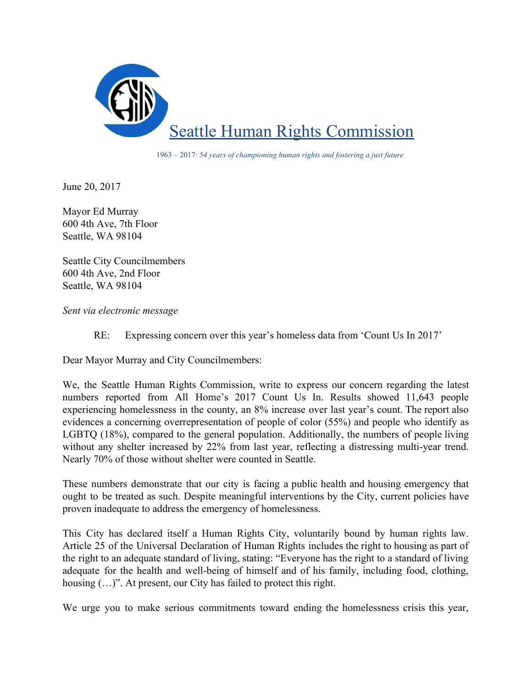

1963 – 2017· *54 years of championing human rights and fostering a just future*

June 20, 2017

Mayor Ed Murray 600 4th Ave, 7th Floor Seattle, WA 98104

Seattle City Councilmembers 600 4th Ave, 2nd Floor Seattle, WA 98104

*Sent via electronic message*

RE: Expressing concern over this year's homeless data from 'Count Us In 2017'

Dear Mayor Murray and City Councilmembers:

We, the Seattle Human Rights Commission, write to express our concern regarding the latest numbers reported from All Home's 2017 Count Us In. Results showed 11,643 people experiencing homelessness in the county, an 8% increase over last year's count. The report also evidences a concerning overrepresentation of people of color (55%) and people who identify as LGBTQ (18%), compared to the general population. Additionally, the numbers of people living without any shelter increased by 22% from last year, reflecting a distressing multi-year trend. Nearly 70% of those without shelter were counted in Seattle.

These numbers demonstrate that our city is facing a public health and housing emergency that ought to be treated as such. Despite meaningful interventions by the City, current policies have proven inadequate to address the emergency of homelessness.

This City has declared itself a Human Rights City, voluntarily bound by human rights law. Article 25 of the Universal Declaration of Human Rights includes the right to housing as part of the right to an adequate standard of living, stating: "Everyone has the right to a standard of living adequate for the health and well-being of himself and of his family, including food, clothing, housing  $(...)$ ". At present, our City has failed to protect this right.

We urge you to make serious commitments toward ending the homelessness crisis this year,